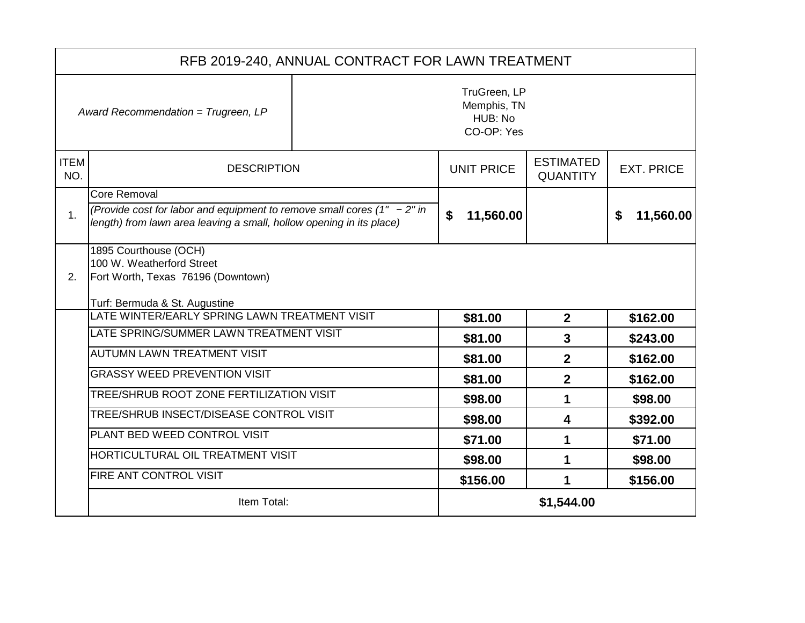|                                                                                             | RFB 2019-240, ANNUAL CONTRACT FOR LAWN TREATMENT                                                                                                                      |  |                   |                                     |                   |
|---------------------------------------------------------------------------------------------|-----------------------------------------------------------------------------------------------------------------------------------------------------------------------|--|-------------------|-------------------------------------|-------------------|
| TruGreen, LP<br>Memphis, TN<br>Award Recommendation = Trugreen, LP<br>HUB: No<br>CO-OP: Yes |                                                                                                                                                                       |  |                   |                                     |                   |
| <b>ITEM</b><br>NO.                                                                          | <b>DESCRIPTION</b>                                                                                                                                                    |  | <b>UNIT PRICE</b> | <b>ESTIMATED</b><br><b>QUANTITY</b> | <b>EXT. PRICE</b> |
| 1 <sub>1</sub>                                                                              | Core Removal<br>(Provide cost for labor and equipment to remove small cores $(1'' - 2''')$ in<br>length) from lawn area leaving a small, hollow opening in its place) |  | \$<br>11,560.00   |                                     | 11,560.00<br>\$   |
| 2.                                                                                          | 1895 Courthouse (OCH)<br>100 W. Weatherford Street<br>Fort Worth, Texas 76196 (Downtown)<br>Turf: Bermuda & St. Augustine                                             |  |                   |                                     |                   |
|                                                                                             | LATE WINTER/EARLY SPRING LAWN TREATMENT VISIT                                                                                                                         |  | \$81.00           | $\overline{2}$                      | \$162.00          |
|                                                                                             | LATE SPRING/SUMMER LAWN TREATMENT VISIT                                                                                                                               |  | \$81.00           | $\overline{3}$                      | \$243.00          |
|                                                                                             | <b>AUTUMN LAWN TREATMENT VISIT</b>                                                                                                                                    |  | \$81.00           | $\overline{2}$                      | \$162.00          |
|                                                                                             | <b>GRASSY WEED PREVENTION VISIT</b>                                                                                                                                   |  | \$81.00           | $\overline{2}$                      | \$162.00          |
|                                                                                             | TREE/SHRUB ROOT ZONE FERTILIZATION VISIT                                                                                                                              |  | \$98.00           | 1                                   | \$98.00           |
|                                                                                             | TREE/SHRUB INSECT/DISEASE CONTROL VISIT                                                                                                                               |  | \$98.00           | 4                                   | \$392.00          |
|                                                                                             | PLANT BED WEED CONTROL VISIT                                                                                                                                          |  | \$71.00           | 1                                   | \$71.00           |
|                                                                                             | HORTICULTURAL OIL TREATMENT VISIT                                                                                                                                     |  | \$98.00           | 1                                   | \$98.00           |
|                                                                                             | FIRE ANT CONTROL VISIT                                                                                                                                                |  | \$156.00          | 1                                   | \$156.00          |
|                                                                                             | Item Total:                                                                                                                                                           |  |                   | \$1,544.00                          |                   |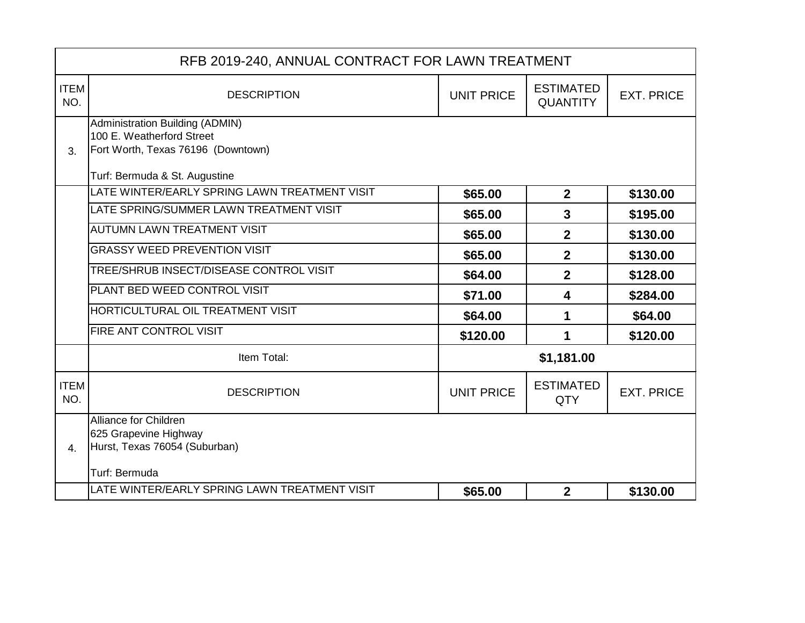|                    | RFB 2019-240, ANNUAL CONTRACT FOR LAWN TREATMENT                                                                                    |                   |                                     |                   |
|--------------------|-------------------------------------------------------------------------------------------------------------------------------------|-------------------|-------------------------------------|-------------------|
| <b>ITEM</b><br>NO. | <b>DESCRIPTION</b>                                                                                                                  | <b>UNIT PRICE</b> | <b>ESTIMATED</b><br><b>QUANTITY</b> | <b>EXT. PRICE</b> |
| 3.                 | Administration Building (ADMIN)<br>100 E. Weatherford Street<br>Fort Worth, Texas 76196 (Downtown)<br>Turf: Bermuda & St. Augustine |                   |                                     |                   |
|                    | LATE WINTER/EARLY SPRING LAWN TREATMENT VISIT                                                                                       | \$65.00           | $\overline{2}$                      | \$130.00          |
|                    | LATE SPRING/SUMMER LAWN TREATMENT VISIT                                                                                             | \$65.00           | 3                                   | \$195.00          |
|                    | <b>AUTUMN LAWN TREATMENT VISIT</b>                                                                                                  | \$65.00           | $\overline{2}$                      | \$130.00          |
|                    | <b>GRASSY WEED PREVENTION VISIT</b>                                                                                                 | \$65.00           | $\overline{2}$                      | \$130.00          |
|                    | TREE/SHRUB INSECT/DISEASE CONTROL VISIT                                                                                             | \$64.00           | $\overline{2}$                      | \$128.00          |
|                    | PLANT BED WEED CONTROL VISIT                                                                                                        | \$71.00           | 4                                   | \$284.00          |
|                    | HORTICULTURAL OIL TREATMENT VISIT                                                                                                   | \$64.00           | 1                                   | \$64.00           |
|                    | FIRE ANT CONTROL VISIT                                                                                                              | \$120.00          | 1                                   | \$120.00          |
|                    | Item Total:                                                                                                                         |                   | \$1,181.00                          |                   |
| <b>ITEM</b><br>NO. | <b>DESCRIPTION</b>                                                                                                                  | <b>UNIT PRICE</b> | <b>ESTIMATED</b><br><b>QTY</b>      | <b>EXT. PRICE</b> |
| 4.                 | Alliance for Children<br>625 Grapevine Highway<br>Hurst, Texas 76054 (Suburban)<br>Turf: Bermuda                                    |                   |                                     |                   |
|                    | LATE WINTER/EARLY SPRING LAWN TREATMENT VISIT                                                                                       | \$65.00           | $\overline{2}$                      | \$130.00          |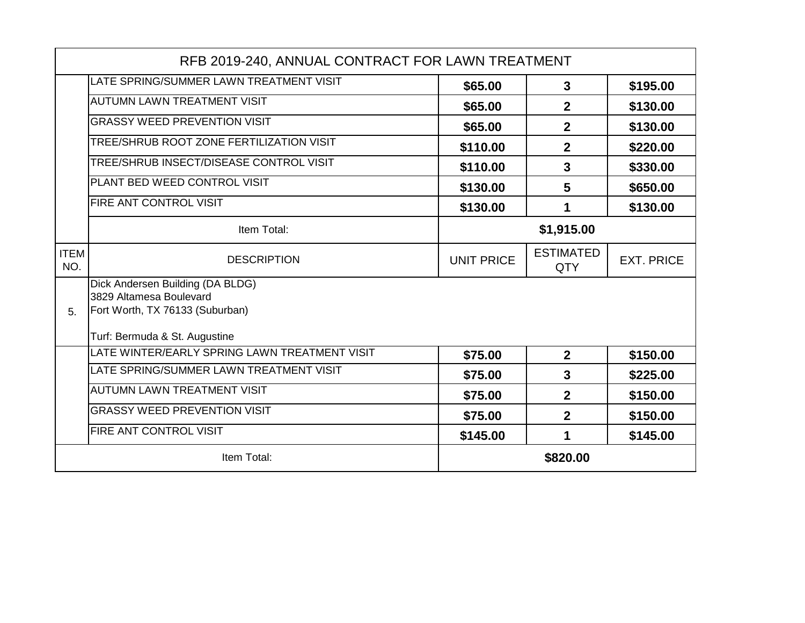|                    | RFB 2019-240, ANNUAL CONTRACT FOR LAWN TREATMENT                                                                                |                   |                                |                   |
|--------------------|---------------------------------------------------------------------------------------------------------------------------------|-------------------|--------------------------------|-------------------|
|                    | LATE SPRING/SUMMER LAWN TREATMENT VISIT                                                                                         | \$65.00           | 3                              | \$195.00          |
|                    | <b>AUTUMN LAWN TREATMENT VISIT</b>                                                                                              | \$65.00           | $\overline{2}$                 | \$130.00          |
|                    | <b>GRASSY WEED PREVENTION VISIT</b>                                                                                             | \$65.00           | $\overline{2}$                 | \$130.00          |
|                    | TREE/SHRUB ROOT ZONE FERTILIZATION VISIT                                                                                        | \$110.00          | $\overline{2}$                 | \$220.00          |
|                    | TREE/SHRUB INSECT/DISEASE CONTROL VISIT                                                                                         | \$110.00          | 3                              | \$330.00          |
|                    | PLANT BED WEED CONTROL VISIT                                                                                                    | \$130.00          | $5\phantom{1}$                 | \$650.00          |
|                    | FIRE ANT CONTROL VISIT                                                                                                          | \$130.00          | 1                              | \$130.00          |
|                    | Item Total:                                                                                                                     |                   | \$1,915.00                     |                   |
| <b>ITEM</b><br>NO. | <b>DESCRIPTION</b>                                                                                                              | <b>UNIT PRICE</b> | <b>ESTIMATED</b><br><b>QTY</b> | <b>EXT. PRICE</b> |
| 5.                 | Dick Andersen Building (DA BLDG)<br>3829 Altamesa Boulevard<br>Fort Worth, TX 76133 (Suburban)<br>Turf: Bermuda & St. Augustine |                   |                                |                   |
|                    | LATE WINTER/EARLY SPRING LAWN TREATMENT VISIT                                                                                   | \$75.00           | $\mathbf{2}$                   | \$150.00          |
|                    | LATE SPRING/SUMMER LAWN TREATMENT VISIT                                                                                         | \$75.00           | 3                              | \$225.00          |
|                    | <b>AUTUMN LAWN TREATMENT VISIT</b>                                                                                              | \$75.00           | $\overline{2}$                 | \$150.00          |
|                    | <b>GRASSY WEED PREVENTION VISIT</b>                                                                                             | \$75.00           | $\overline{2}$                 | \$150.00          |
|                    | <b>FIRE ANT CONTROL VISIT</b>                                                                                                   | \$145.00          | 1                              | \$145.00          |
|                    | Item Total:                                                                                                                     |                   | \$820.00                       |                   |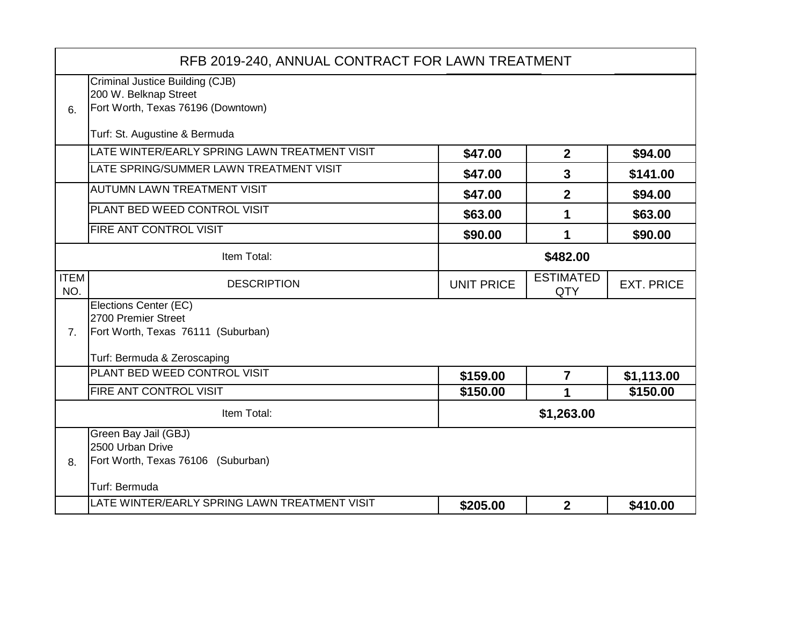|                    | RFB 2019-240, ANNUAL CONTRACT FOR LAWN TREATMENT |                   |                                |                   |
|--------------------|--------------------------------------------------|-------------------|--------------------------------|-------------------|
|                    | Criminal Justice Building (CJB)                  |                   |                                |                   |
|                    | 200 W. Belknap Street                            |                   |                                |                   |
| 6.                 | Fort Worth, Texas 76196 (Downtown)               |                   |                                |                   |
|                    | Turf: St. Augustine & Bermuda                    |                   |                                |                   |
|                    | LATE WINTER/EARLY SPRING LAWN TREATMENT VISIT    | \$47.00           | $\overline{2}$                 | \$94.00           |
|                    | LATE SPRING/SUMMER LAWN TREATMENT VISIT          | \$47.00           | 3                              | \$141.00          |
|                    | <b>AUTUMN LAWN TREATMENT VISIT</b>               | \$47.00           | $\mathbf 2$                    | \$94.00           |
|                    | PLANT BED WEED CONTROL VISIT                     | \$63.00           | 1                              | \$63.00           |
|                    | FIRE ANT CONTROL VISIT                           | \$90.00           | 1                              | \$90.00           |
|                    | Item Total:                                      |                   | \$482.00                       |                   |
| <b>ITEM</b><br>NO. | <b>DESCRIPTION</b>                               | <b>UNIT PRICE</b> | <b>ESTIMATED</b><br><b>QTY</b> | <b>EXT. PRICE</b> |
|                    | Elections Center (EC)                            |                   |                                |                   |
|                    | 2700 Premier Street                              |                   |                                |                   |
| 7 <sub>1</sub>     | Fort Worth, Texas 76111 (Suburban)               |                   |                                |                   |
|                    | Turf: Bermuda & Zeroscaping                      |                   |                                |                   |
|                    | PLANT BED WEED CONTROL VISIT                     | \$159.00          | $\overline{7}$                 | \$1,113.00        |
|                    | FIRE ANT CONTROL VISIT                           | \$150.00          | 1                              | \$150.00          |
|                    | Item Total:                                      |                   | \$1,263.00                     |                   |
|                    | Green Bay Jail (GBJ)                             |                   |                                |                   |
|                    | 2500 Urban Drive                                 |                   |                                |                   |
| 8.                 | Fort Worth, Texas 76106 (Suburban)               |                   |                                |                   |
|                    | Turf: Bermuda                                    |                   |                                |                   |
|                    | LATE WINTER/EARLY SPRING LAWN TREATMENT VISIT    | \$205.00          | $\mathbf{2}$                   | \$410.00          |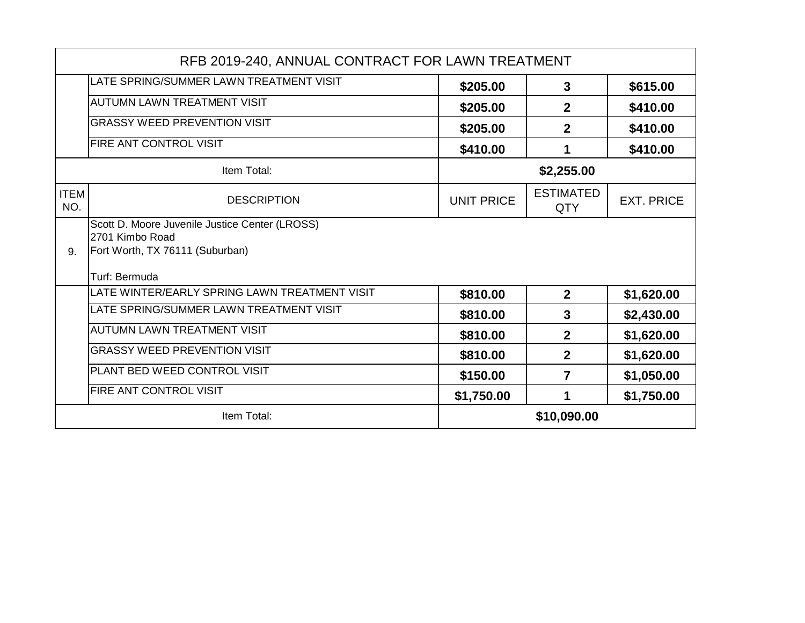|                    | RFB 2019-240, ANNUAL CONTRACT FOR LAWN TREATMENT                  |                   |                                |                   |
|--------------------|-------------------------------------------------------------------|-------------------|--------------------------------|-------------------|
|                    | LATE SPRING/SUMMER LAWN TREATMENT VISIT                           | \$205.00          | 3                              | \$615.00          |
|                    | <b>AUTUMN LAWN TREATMENT VISIT</b>                                | \$205.00          | $\mathbf 2$                    | \$410.00          |
|                    | <b>GRASSY WEED PREVENTION VISIT</b>                               | \$205.00          | $\mathbf 2$                    | \$410.00          |
|                    | <b>FIRE ANT CONTROL VISIT</b>                                     | \$410.00          | 1                              | \$410.00          |
|                    | Item Total:                                                       |                   | \$2,255.00                     |                   |
| <b>ITEM</b><br>NO. | <b>DESCRIPTION</b>                                                | <b>UNIT PRICE</b> | <b>ESTIMATED</b><br><b>QTY</b> | <b>EXT. PRICE</b> |
|                    | Scott D. Moore Juvenile Justice Center (LROSS)<br>2701 Kimbo Road |                   |                                |                   |
| 9.                 | Fort Worth, TX 76111 (Suburban)                                   |                   |                                |                   |
|                    | Turf: Bermuda                                                     |                   |                                |                   |
|                    | LATE WINTER/EARLY SPRING LAWN TREATMENT VISIT                     | \$810.00          | $\overline{2}$                 | \$1,620.00        |
|                    | LATE SPRING/SUMMER LAWN TREATMENT VISIT                           | \$810.00          | 3                              | \$2,430.00        |
|                    | <b>AUTUMN LAWN TREATMENT VISIT</b>                                | \$810.00          | $\overline{2}$                 | \$1,620.00        |
|                    | <b>GRASSY WEED PREVENTION VISIT</b>                               | \$810.00          | $\overline{2}$                 | \$1,620.00        |
|                    | PLANT BED WEED CONTROL VISIT                                      | \$150.00          | 7                              | \$1,050.00        |
|                    | <b>FIRE ANT CONTROL VISIT</b>                                     | \$1,750.00        | 1                              | \$1,750.00        |
|                    | Item Total:                                                       |                   | \$10,090.00                    |                   |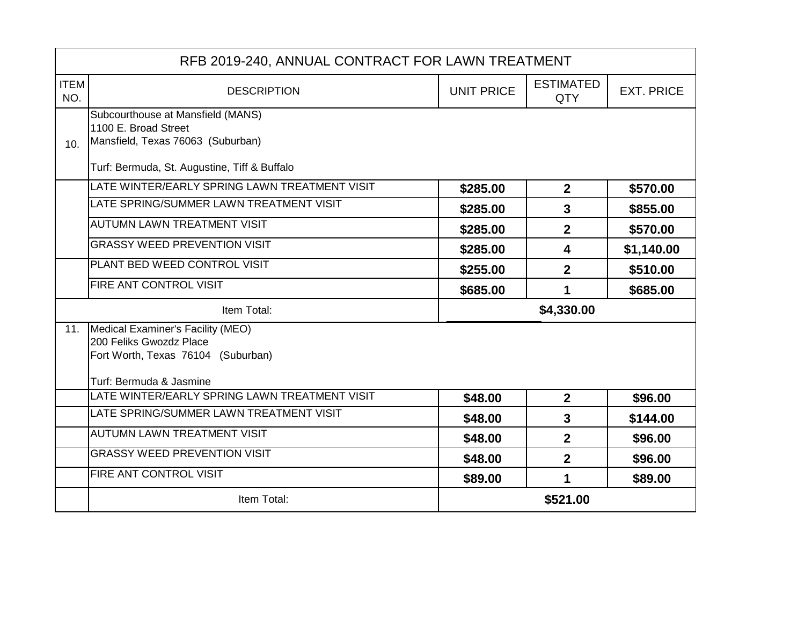|                    | RFB 2019-240, ANNUAL CONTRACT FOR LAWN TREATMENT                                                                              |                   |                                |                   |
|--------------------|-------------------------------------------------------------------------------------------------------------------------------|-------------------|--------------------------------|-------------------|
| <b>ITEM</b><br>NO. | <b>DESCRIPTION</b>                                                                                                            | <b>UNIT PRICE</b> | <b>ESTIMATED</b><br><b>QTY</b> | <b>EXT. PRICE</b> |
| 10.                | Subcourthouse at Mansfield (MANS)<br>1100 E. Broad Street<br>Mansfield, Texas 76063 (Suburban)                                |                   |                                |                   |
|                    | Turf: Bermuda, St. Augustine, Tiff & Buffalo                                                                                  |                   |                                |                   |
|                    | LATE WINTER/EARLY SPRING LAWN TREATMENT VISIT                                                                                 | \$285.00          | $\overline{2}$                 | \$570.00          |
|                    | LATE SPRING/SUMMER LAWN TREATMENT VISIT                                                                                       | \$285.00          | $\mathbf{3}$                   | \$855.00          |
|                    | <b>AUTUMN LAWN TREATMENT VISIT</b>                                                                                            | \$285.00          | $\overline{2}$                 | \$570.00          |
|                    | <b>GRASSY WEED PREVENTION VISIT</b>                                                                                           | \$285.00          | $\overline{\mathbf{4}}$        | \$1,140.00        |
|                    | PLANT BED WEED CONTROL VISIT                                                                                                  | \$255.00          | $\overline{2}$                 | \$510.00          |
|                    | <b>FIRE ANT CONTROL VISIT</b>                                                                                                 | \$685.00          | 1                              | \$685.00          |
|                    | Item Total:                                                                                                                   | \$4,330.00        |                                |                   |
| 11.                | Medical Examiner's Facility (MEO)<br>200 Feliks Gwozdz Place<br>Fort Worth, Texas 76104 (Suburban)<br>Turf: Bermuda & Jasmine |                   |                                |                   |
|                    | LATE WINTER/EARLY SPRING LAWN TREATMENT VISIT                                                                                 | \$48.00           | $\overline{2}$                 | \$96.00           |
|                    | LATE SPRING/SUMMER LAWN TREATMENT VISIT                                                                                       | \$48.00           | $\overline{3}$                 | \$144.00          |
|                    | <b>AUTUMN LAWN TREATMENT VISIT</b>                                                                                            | \$48.00           | $\overline{2}$                 | \$96.00           |
|                    | <b>GRASSY WEED PREVENTION VISIT</b>                                                                                           | \$48.00           | $\overline{2}$                 | \$96.00           |
|                    | FIRE ANT CONTROL VISIT                                                                                                        | \$89.00           | 1                              | \$89.00           |
|                    | Item Total:                                                                                                                   |                   | \$521.00                       |                   |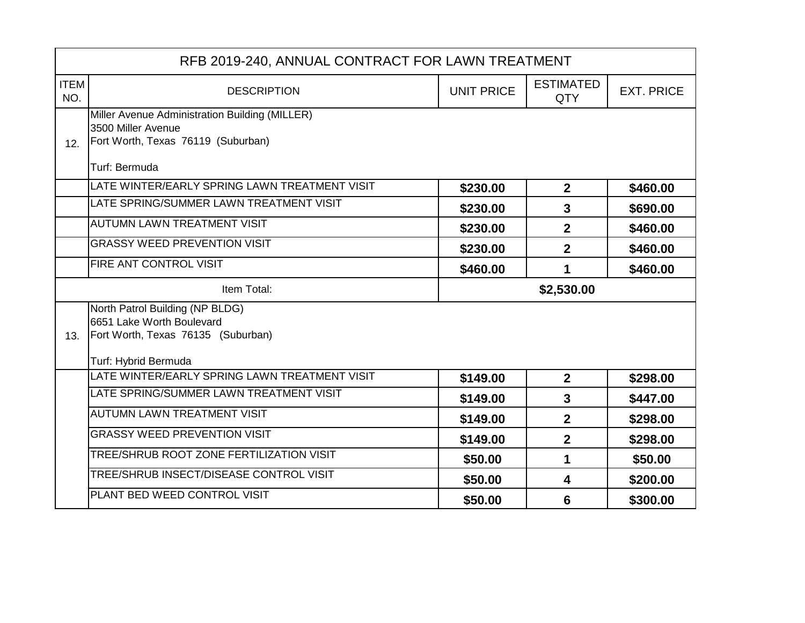|                    | RFB 2019-240, ANNUAL CONTRACT FOR LAWN TREATMENT                |                   |                                |                   |  |
|--------------------|-----------------------------------------------------------------|-------------------|--------------------------------|-------------------|--|
| <b>ITEM</b><br>NO. | <b>DESCRIPTION</b>                                              | <b>UNIT PRICE</b> | <b>ESTIMATED</b><br><b>QTY</b> | <b>EXT. PRICE</b> |  |
|                    | Miller Avenue Administration Building (MILLER)                  |                   |                                |                   |  |
| 12.                | 3500 Miller Avenue<br>Fort Worth, Texas 76119 (Suburban)        |                   |                                |                   |  |
|                    |                                                                 |                   |                                |                   |  |
|                    | Turf: Bermuda                                                   |                   |                                |                   |  |
|                    | LATE WINTER/EARLY SPRING LAWN TREATMENT VISIT                   | \$230.00          | $\mathbf{2}$                   | \$460.00          |  |
|                    | LATE SPRING/SUMMER LAWN TREATMENT VISIT                         | \$230.00          | $\overline{3}$                 | \$690.00          |  |
|                    | <b>AUTUMN LAWN TREATMENT VISIT</b>                              | \$230.00          | 2 <sup>1</sup>                 | \$460.00          |  |
|                    | <b>GRASSY WEED PREVENTION VISIT</b>                             | \$230.00          | $\overline{2}$                 | \$460.00          |  |
|                    | FIRE ANT CONTROL VISIT                                          | \$460.00          | 1                              | \$460.00          |  |
|                    | Item Total:                                                     |                   | \$2,530.00                     |                   |  |
|                    | North Patrol Building (NP BLDG)                                 |                   |                                |                   |  |
| 13.                | 6651 Lake Worth Boulevard<br>Fort Worth, Texas 76135 (Suburban) |                   |                                |                   |  |
|                    |                                                                 |                   |                                |                   |  |
|                    | Turf: Hybrid Bermuda                                            |                   |                                |                   |  |
|                    | LATE WINTER/EARLY SPRING LAWN TREATMENT VISIT                   | \$149.00          | $\overline{2}$                 | \$298.00          |  |
|                    | LATE SPRING/SUMMER LAWN TREATMENT VISIT                         | \$149.00          | $\overline{3}$                 | \$447.00          |  |
|                    | <b>AUTUMN LAWN TREATMENT VISIT</b>                              | \$149.00          | 2 <sup>1</sup>                 | \$298.00          |  |
|                    | <b>GRASSY WEED PREVENTION VISIT</b>                             | \$149.00          | $\overline{2}$                 | \$298.00          |  |
|                    | TREE/SHRUB ROOT ZONE FERTILIZATION VISIT                        | \$50.00           | 1                              | \$50.00           |  |
|                    | TREE/SHRUB INSECT/DISEASE CONTROL VISIT                         | \$50.00           | $\overline{\mathbf{4}}$        | \$200.00          |  |
|                    | PLANT BED WEED CONTROL VISIT                                    | \$50.00           | 6                              | \$300.00          |  |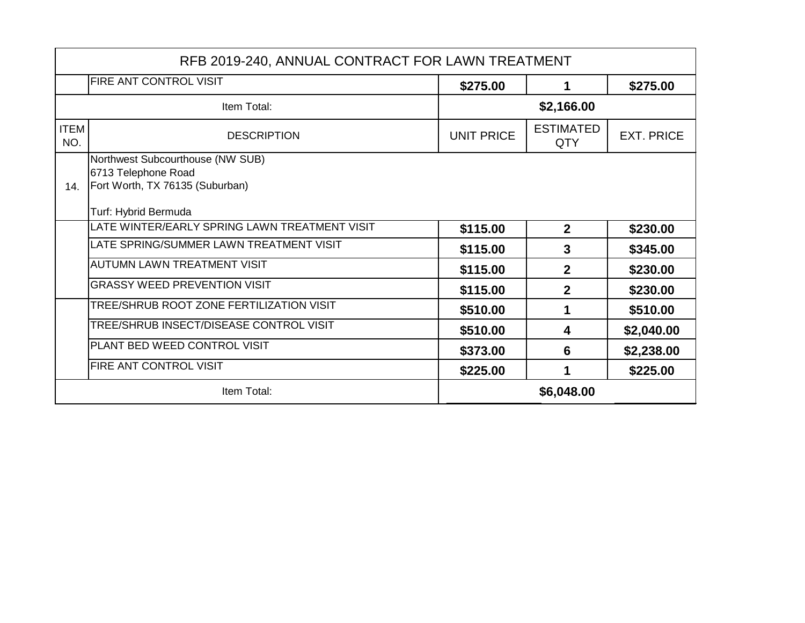|                    | RFB 2019-240, ANNUAL CONTRACT FOR LAWN TREATMENT                                                                   |                   |                                |                   |
|--------------------|--------------------------------------------------------------------------------------------------------------------|-------------------|--------------------------------|-------------------|
|                    | <b>FIRE ANT CONTROL VISIT</b>                                                                                      | \$275.00          | 1                              | \$275.00          |
| Item Total:        |                                                                                                                    |                   | \$2,166.00                     |                   |
| <b>ITEM</b><br>NO. | <b>DESCRIPTION</b>                                                                                                 | <b>UNIT PRICE</b> | <b>ESTIMATED</b><br><b>QTY</b> | <b>EXT. PRICE</b> |
| 14.                | Northwest Subcourthouse (NW SUB)<br>6713 Telephone Road<br>Fort Worth, TX 76135 (Suburban)<br>Turf: Hybrid Bermuda |                   |                                |                   |
|                    | LATE WINTER/EARLY SPRING LAWN TREATMENT VISIT                                                                      | \$115.00          | $\overline{2}$                 | \$230.00          |
|                    | LATE SPRING/SUMMER LAWN TREATMENT VISIT                                                                            | \$115.00          | $\mathbf{3}$                   | \$345.00          |
|                    | <b>AUTUMN LAWN TREATMENT VISIT</b>                                                                                 | \$115.00          | $\overline{2}$                 | \$230.00          |
|                    | <b>GRASSY WEED PREVENTION VISIT</b>                                                                                | \$115.00          | $\mathbf{2}$                   | \$230.00          |
|                    | TREE/SHRUB ROOT ZONE FERTILIZATION VISIT                                                                           | \$510.00          | 1                              | \$510.00          |
|                    | TREE/SHRUB INSECT/DISEASE CONTROL VISIT                                                                            | \$510.00          | 4                              | \$2,040.00        |
|                    | <b>PLANT BED WEED CONTROL VISIT</b>                                                                                | \$373.00          | 6                              | \$2,238.00        |
|                    | <b>FIRE ANT CONTROL VISIT</b>                                                                                      | \$225.00          |                                | \$225.00          |
|                    | Item Total:                                                                                                        |                   | \$6,048.00                     |                   |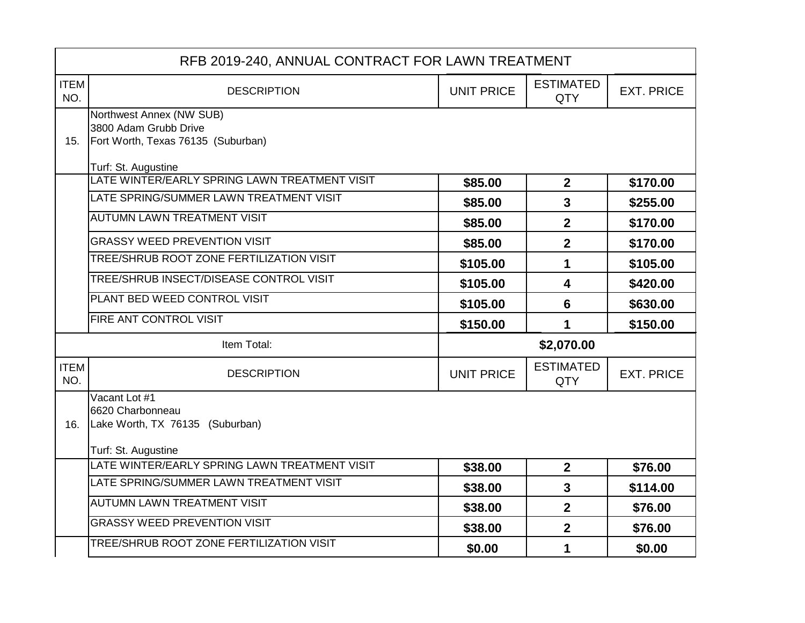|                    | RFB 2019-240, ANNUAL CONTRACT FOR LAWN TREATMENT                                            |                   |                                |                   |
|--------------------|---------------------------------------------------------------------------------------------|-------------------|--------------------------------|-------------------|
| <b>ITEM</b><br>NO. | <b>DESCRIPTION</b>                                                                          | <b>UNIT PRICE</b> | <b>ESTIMATED</b><br><b>QTY</b> | <b>EXT. PRICE</b> |
| 15.                | Northwest Annex (NW SUB)<br>3800 Adam Grubb Drive<br>Fort Worth, Texas 76135 (Suburban)     |                   |                                |                   |
|                    | Turf: St. Augustine                                                                         |                   |                                |                   |
|                    | LATE WINTER/EARLY SPRING LAWN TREATMENT VISIT                                               | \$85.00           | $\overline{2}$                 | \$170.00          |
|                    | LATE SPRING/SUMMER LAWN TREATMENT VISIT                                                     | \$85.00           | $\overline{3}$                 | \$255.00          |
|                    | <b>AUTUMN LAWN TREATMENT VISIT</b>                                                          | \$85.00           | $\overline{2}$                 | \$170.00          |
|                    | <b>GRASSY WEED PREVENTION VISIT</b>                                                         | \$85.00           | $\overline{2}$                 | \$170.00          |
|                    | TREE/SHRUB ROOT ZONE FERTILIZATION VISIT                                                    | \$105.00          | 1                              | \$105.00          |
|                    | TREE/SHRUB INSECT/DISEASE CONTROL VISIT                                                     | \$105.00          | 4                              | \$420.00          |
|                    | PLANT BED WEED CONTROL VISIT                                                                | \$105.00          | 6                              | \$630.00          |
|                    | FIRE ANT CONTROL VISIT                                                                      | \$150.00          | 1                              | \$150.00          |
|                    | Item Total:                                                                                 |                   | \$2,070.00                     |                   |
| <b>ITEM</b><br>NO. | <b>DESCRIPTION</b>                                                                          | <b>UNIT PRICE</b> | <b>ESTIMATED</b><br><b>QTY</b> | <b>EXT. PRICE</b> |
| 16.                | Vacant Lot #1<br>6620 Charbonneau<br>Lake Worth, TX 76135 (Suburban)<br>Turf: St. Augustine |                   |                                |                   |
|                    | LATE WINTER/EARLY SPRING LAWN TREATMENT VISIT                                               | \$38.00           | $\overline{2}$                 | \$76.00           |
|                    | LATE SPRING/SUMMER LAWN TREATMENT VISIT                                                     | \$38.00           | $\overline{3}$                 | \$114.00          |
|                    | <b>AUTUMN LAWN TREATMENT VISIT</b>                                                          | \$38.00           | $\overline{2}$                 | \$76.00           |
|                    | <b>GRASSY WEED PREVENTION VISIT</b>                                                         | \$38.00           | $\mathbf 2$                    | \$76.00           |
|                    | TREE/SHRUB ROOT ZONE FERTILIZATION VISIT                                                    | \$0.00            | 1                              | \$0.00            |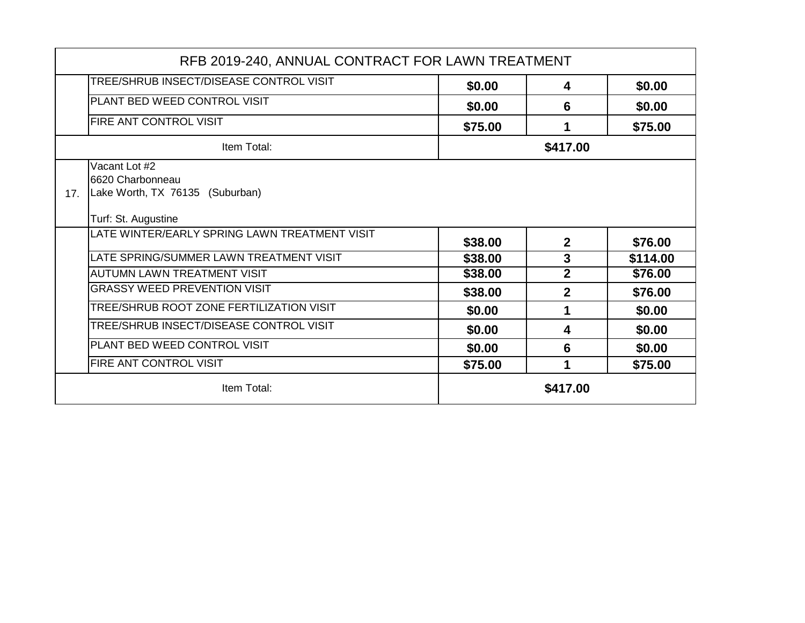|     | RFB 2019-240, ANNUAL CONTRACT FOR LAWN TREATMENT                                            |         |                |          |
|-----|---------------------------------------------------------------------------------------------|---------|----------------|----------|
|     | TREE/SHRUB INSECT/DISEASE CONTROL VISIT                                                     | \$0.00  | 4              | \$0.00   |
|     | PLANT BED WEED CONTROL VISIT                                                                | \$0.00  | 6              | \$0.00   |
|     | <b>FIRE ANT CONTROL VISIT</b>                                                               | \$75.00 | 1              | \$75.00  |
|     | Item Total:                                                                                 |         | \$417.00       |          |
| 17. | Vacant Lot #2<br>6620 Charbonneau<br>Lake Worth, TX 76135 (Suburban)<br>Turf: St. Augustine |         |                |          |
|     | LATE WINTER/EARLY SPRING LAWN TREATMENT VISIT                                               | \$38.00 | $\mathbf{2}$   | \$76.00  |
|     | LATE SPRING/SUMMER LAWN TREATMENT VISIT                                                     | \$38.00 | 3              | \$114.00 |
|     | <b>AUTUMN LAWN TREATMENT VISIT</b>                                                          | \$38.00 | $\mathbf{2}$   | \$76.00  |
|     | <b>GRASSY WEED PREVENTION VISIT</b>                                                         | \$38.00 | $\overline{2}$ | \$76.00  |
|     | <b>TREE/SHRUB ROOT ZONE FERTILIZATION VISIT</b>                                             | \$0.00  | 1              | \$0.00   |
|     | TREE/SHRUB INSECT/DISEASE CONTROL VISIT                                                     | \$0.00  | 4              | \$0.00   |
|     | PLANT BED WEED CONTROL VISIT                                                                | \$0.00  | 6              | \$0.00   |
|     | <b>FIRE ANT CONTROL VISIT</b>                                                               | \$75.00 | 1              | \$75.00  |
|     | Item Total:                                                                                 |         | \$417.00       |          |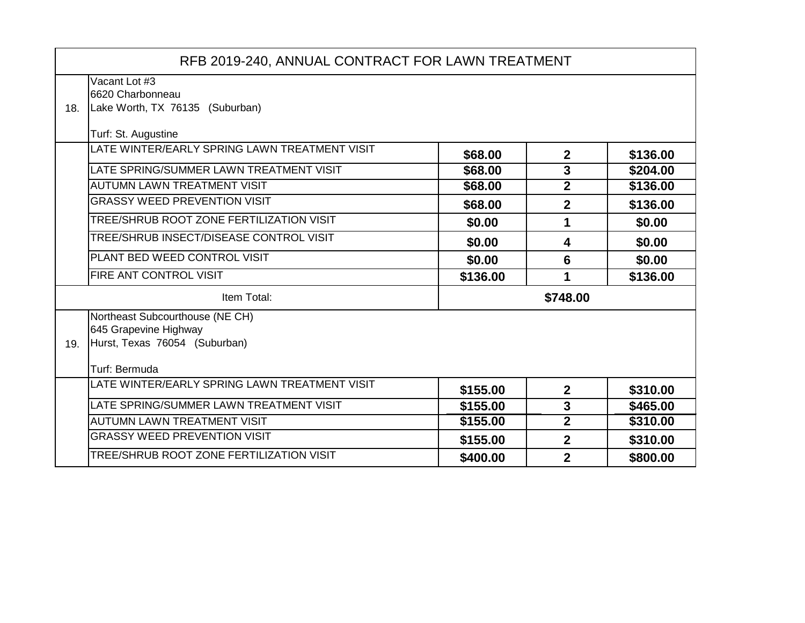|     | RFB 2019-240, ANNUAL CONTRACT FOR LAWN TREATMENT                                                           |          |                         |          |
|-----|------------------------------------------------------------------------------------------------------------|----------|-------------------------|----------|
| 18. | Vacant Lot #3<br>6620 Charbonneau<br>Lake Worth, TX 76135 (Suburban)                                       |          |                         |          |
|     | Turf: St. Augustine                                                                                        |          |                         |          |
|     | LATE WINTER/EARLY SPRING LAWN TREATMENT VISIT                                                              | \$68.00  | $\mathbf{2}$            | \$136.00 |
|     | LATE SPRING/SUMMER LAWN TREATMENT VISIT                                                                    | \$68.00  | $\overline{3}$          | \$204.00 |
|     | <b>AUTUMN LAWN TREATMENT VISIT</b>                                                                         | \$68.00  | $\overline{2}$          | \$136.00 |
|     | <b>GRASSY WEED PREVENTION VISIT</b>                                                                        | \$68.00  | $\mathbf{2}$            | \$136.00 |
|     | TREE/SHRUB ROOT ZONE FERTILIZATION VISIT                                                                   | \$0.00   | 1                       | \$0.00   |
|     | TREE/SHRUB INSECT/DISEASE CONTROL VISIT                                                                    | \$0.00   | 4                       | \$0.00   |
|     | PLANT BED WEED CONTROL VISIT                                                                               | \$0.00   | $6\phantom{1}$          | \$0.00   |
|     | FIRE ANT CONTROL VISIT                                                                                     | \$136.00 | 1                       | \$136.00 |
|     | Item Total:                                                                                                |          | \$748.00                |          |
| 19. | Northeast Subcourthouse (NE CH)<br>645 Grapevine Highway<br>Hurst, Texas 76054 (Suburban)<br>Turf: Bermuda |          |                         |          |
|     | LATE WINTER/EARLY SPRING LAWN TREATMENT VISIT                                                              | \$155.00 | $\mathbf{2}$            | \$310.00 |
|     | LATE SPRING/SUMMER LAWN TREATMENT VISIT                                                                    | \$155.00 | $\overline{\mathbf{3}}$ | \$465.00 |
|     | <b>AUTUMN LAWN TREATMENT VISIT</b>                                                                         | \$155.00 | $\mathbf{2}$            | \$310.00 |
|     | <b>GRASSY WEED PREVENTION VISIT</b>                                                                        | \$155.00 | $\mathbf{2}$            | \$310.00 |
|     | TREE/SHRUB ROOT ZONE FERTILIZATION VISIT                                                                   | \$400.00 | $\overline{2}$          | \$800.00 |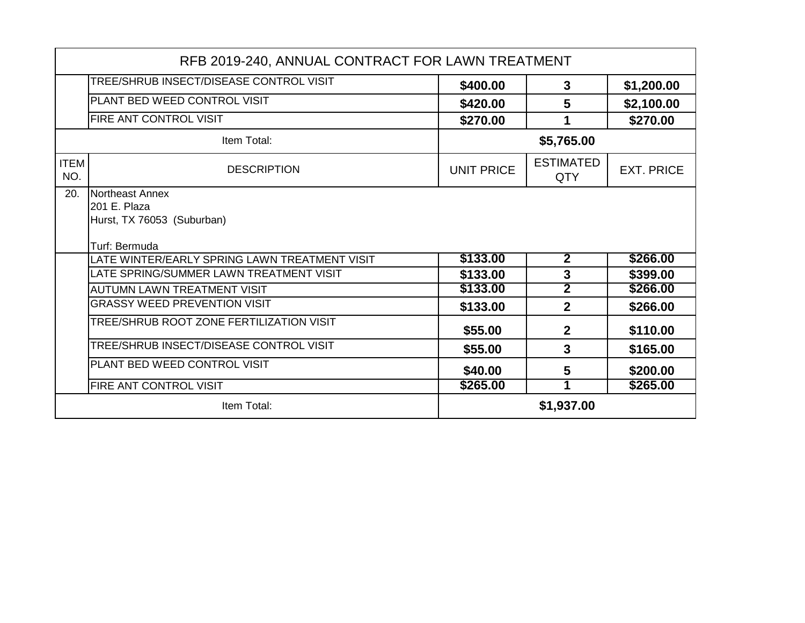|                    | RFB 2019-240, ANNUAL CONTRACT FOR LAWN TREATMENT                               |                   |                         |                   |
|--------------------|--------------------------------------------------------------------------------|-------------------|-------------------------|-------------------|
|                    | TREE/SHRUB INSECT/DISEASE CONTROL VISIT                                        | \$400.00          | 3                       | \$1,200.00        |
|                    | PLANT BED WEED CONTROL VISIT                                                   | \$420.00          | 5                       | \$2,100.00        |
|                    | <b>FIRE ANT CONTROL VISIT</b>                                                  | \$270.00          | 1                       | \$270.00          |
|                    | Item Total:                                                                    |                   | \$5,765.00              |                   |
| <b>ITEM</b><br>NO. | <b>DESCRIPTION</b>                                                             | <b>UNIT PRICE</b> | <b>ESTIMATED</b><br>QTY | <b>EXT. PRICE</b> |
| 20.                | Northeast Annex<br>201 E. Plaza<br>Hurst, TX 76053 (Suburban)<br>Turf: Bermuda |                   |                         |                   |
|                    | LATE WINTER/EARLY SPRING LAWN TREATMENT VISIT                                  | \$133.00          | $\overline{2}$          | \$266.00          |
|                    | LATE SPRING/SUMMER LAWN TREATMENT VISIT                                        | \$133.00          | $\mathbf{3}$            | \$399.00          |
|                    | <b>AUTUMN LAWN TREATMENT VISIT</b>                                             | \$133.00          | $\overline{\mathbf{2}}$ | \$266.00          |
|                    | <b>GRASSY WEED PREVENTION VISIT</b>                                            | \$133.00          | $\overline{2}$          | \$266.00          |
|                    | TREE/SHRUB ROOT ZONE FERTILIZATION VISIT                                       | \$55.00           | $\mathbf{2}$            | \$110.00          |
|                    | TREE/SHRUB INSECT/DISEASE CONTROL VISIT                                        | \$55.00           | 3                       | \$165.00          |
|                    | PLANT BED WEED CONTROL VISIT                                                   | \$40.00           | 5                       | \$200.00          |
|                    | <b>FIRE ANT CONTROL VISIT</b>                                                  | \$265.00          | 1                       | \$265.00          |
|                    | Item Total:                                                                    |                   | \$1,937.00              |                   |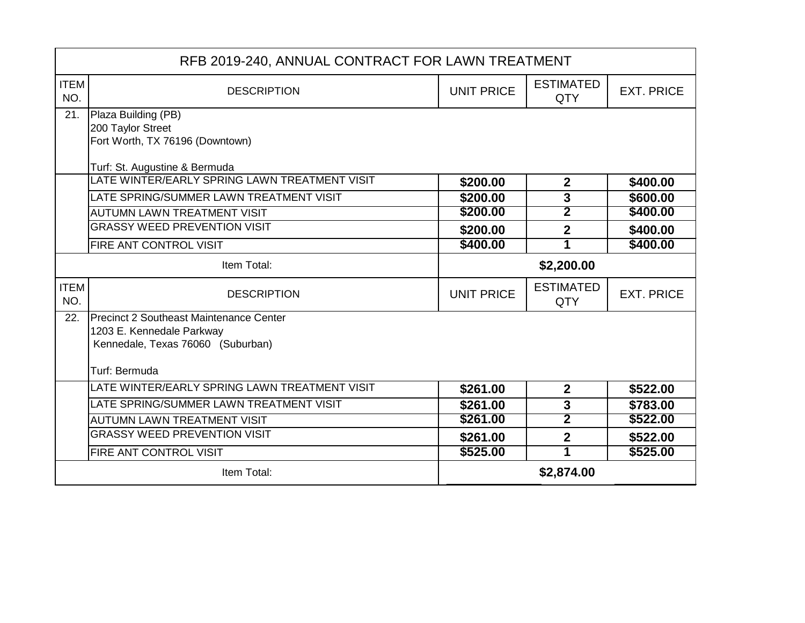| RFB 2019-240, ANNUAL CONTRACT FOR LAWN TREATMENT |                                                      |                   |                                |                   |
|--------------------------------------------------|------------------------------------------------------|-------------------|--------------------------------|-------------------|
| <b>ITEM</b><br>NO.                               | <b>DESCRIPTION</b>                                   | <b>UNIT PRICE</b> | <b>ESTIMATED</b><br><b>QTY</b> | <b>EXT. PRICE</b> |
| 21.                                              | Plaza Building (PB)                                  |                   |                                |                   |
|                                                  | 200 Taylor Street<br>Fort Worth, TX 76196 (Downtown) |                   |                                |                   |
|                                                  |                                                      |                   |                                |                   |
|                                                  | Turf: St. Augustine & Bermuda                        |                   |                                |                   |
|                                                  | LATE WINTER/EARLY SPRING LAWN TREATMENT VISIT        | \$200.00          | $\mathbf{2}$                   | \$400.00          |
|                                                  | LATE SPRING/SUMMER LAWN TREATMENT VISIT              | \$200.00          | 3                              | \$600.00          |
|                                                  | <b>AUTUMN LAWN TREATMENT VISIT</b>                   | \$200.00          | 2                              | \$400.00          |
|                                                  | <b>GRASSY WEED PREVENTION VISIT</b>                  | \$200.00          | $\overline{2}$                 | \$400.00          |
|                                                  | <b>FIRE ANT CONTROL VISIT</b>                        | \$400.00          | 1                              | \$400.00          |
| Item Total:                                      |                                                      | \$2,200.00        |                                |                   |
| <b>ITEM</b><br>NO.                               | <b>DESCRIPTION</b>                                   | <b>UNIT PRICE</b> | <b>ESTIMATED</b><br><b>QTY</b> | <b>EXT. PRICE</b> |
| 22.                                              | Precinct 2 Southeast Maintenance Center              |                   |                                |                   |
|                                                  | 1203 E. Kennedale Parkway                            |                   |                                |                   |
|                                                  | Kennedale, Texas 76060 (Suburban)                    |                   |                                |                   |
|                                                  | Turf: Bermuda                                        |                   |                                |                   |
|                                                  | LATE WINTER/EARLY SPRING LAWN TREATMENT VISIT        | \$261.00          | $\overline{2}$                 | \$522.00          |
|                                                  | LATE SPRING/SUMMER LAWN TREATMENT VISIT              | \$261.00          | 3                              | \$783.00          |
|                                                  | <b>AUTUMN LAWN TREATMENT VISIT</b>                   | \$261.00          | $\overline{2}$                 | \$522.00          |
|                                                  | <b>GRASSY WEED PREVENTION VISIT</b>                  | \$261.00          | $\overline{2}$                 | \$522.00          |
|                                                  | FIRE ANT CONTROL VISIT                               | \$525.00          | 1                              | \$525.00          |
| \$2,874.00<br>Item Total:                        |                                                      |                   |                                |                   |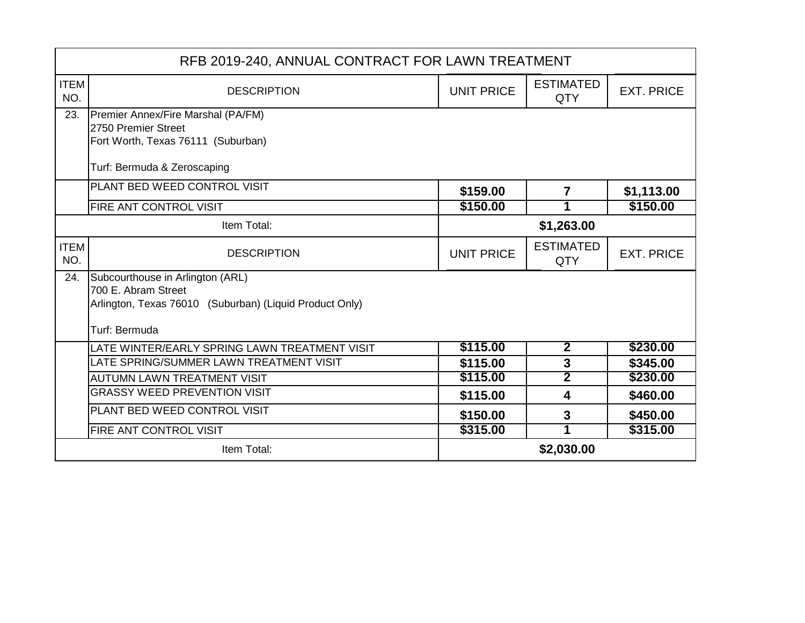| RFB 2019-240, ANNUAL CONTRACT FOR LAWN TREATMENT |                                                                                |                   |                                |                   |
|--------------------------------------------------|--------------------------------------------------------------------------------|-------------------|--------------------------------|-------------------|
| <b>ITEM</b><br>NO.                               | <b>DESCRIPTION</b>                                                             | <b>UNIT PRICE</b> | <b>ESTIMATED</b><br><b>QTY</b> | <b>EXT. PRICE</b> |
| 23.                                              | Premier Annex/Fire Marshal (PA/FM)                                             |                   |                                |                   |
|                                                  | 2750 Premier Street<br>Fort Worth, Texas 76111 (Suburban)                      |                   |                                |                   |
|                                                  | Turf: Bermuda & Zeroscaping                                                    |                   |                                |                   |
|                                                  | PLANT BED WEED CONTROL VISIT                                                   | \$159.00          | $\overline{\mathbf{r}}$        | \$1,113.00        |
|                                                  | FIRE ANT CONTROL VISIT                                                         | \$150.00          | 1                              | \$150.00          |
|                                                  | Item Total:                                                                    |                   | \$1,263.00                     |                   |
| <b>ITEM</b><br>NO.                               | <b>DESCRIPTION</b>                                                             | <b>UNIT PRICE</b> | <b>ESTIMATED</b><br><b>QTY</b> | <b>EXT. PRICE</b> |
| 24.                                              | Subcourthouse in Arlington (ARL)                                               |                   |                                |                   |
|                                                  | 700 E. Abram Street<br>Arlington, Texas 76010 (Suburban) (Liquid Product Only) |                   |                                |                   |
|                                                  |                                                                                |                   |                                |                   |
|                                                  | Turf: Bermuda                                                                  |                   |                                |                   |
|                                                  | LATE WINTER/EARLY SPRING LAWN TREATMENT VISIT                                  | \$115.00          | $\overline{2}$                 | \$230.00          |
|                                                  | LATE SPRING/SUMMER LAWN TREATMENT VISIT                                        | \$115.00          | $\mathbf{3}$                   | \$345.00          |
|                                                  | <b>AUTUMN LAWN TREATMENT VISIT</b>                                             | \$115.00          | $\overline{2}$                 | \$230.00          |
|                                                  | <b>GRASSY WEED PREVENTION VISIT</b>                                            | \$115.00          | 4                              | \$460.00          |
|                                                  | PLANT BED WEED CONTROL VISIT                                                   | \$150.00          | 3                              | \$450.00          |
|                                                  | <b>FIRE ANT CONTROL VISIT</b>                                                  | \$315.00          |                                | \$315.00          |
|                                                  | Item Total:                                                                    |                   | \$2,030.00                     |                   |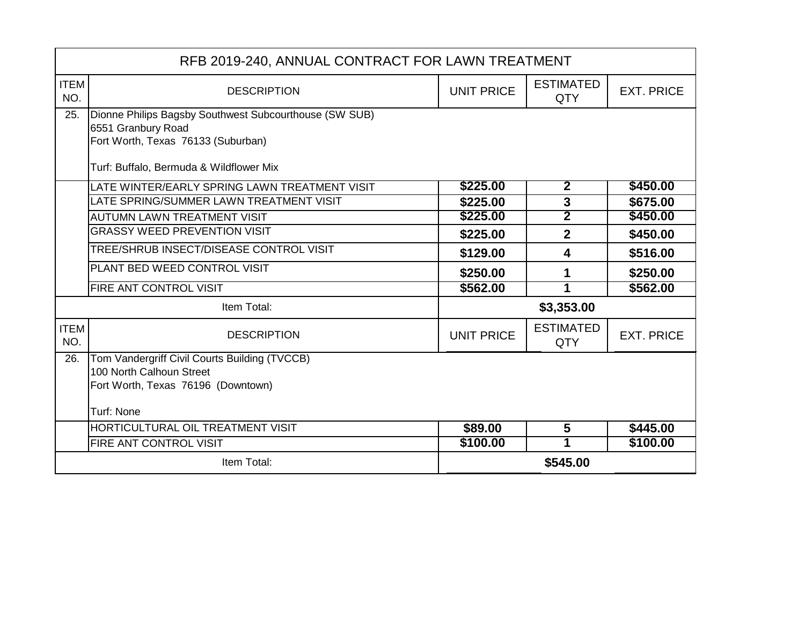| RFB 2019-240, ANNUAL CONTRACT FOR LAWN TREATMENT |                                                                                                                                                               |                   |                         |                   |
|--------------------------------------------------|---------------------------------------------------------------------------------------------------------------------------------------------------------------|-------------------|-------------------------|-------------------|
| <b>ITEM</b><br>NO.                               | <b>DESCRIPTION</b>                                                                                                                                            | <b>UNIT PRICE</b> | <b>ESTIMATED</b><br>QTY | <b>EXT. PRICE</b> |
| 25.                                              | Dionne Philips Bagsby Southwest Subcourthouse (SW SUB)<br>6551 Granbury Road<br>Fort Worth, Texas 76133 (Suburban)<br>Turf: Buffalo, Bermuda & Wildflower Mix |                   |                         |                   |
|                                                  | LATE WINTER/EARLY SPRING LAWN TREATMENT VISIT                                                                                                                 | \$225.00          | $\overline{2}$          | \$450.00          |
|                                                  | LATE SPRING/SUMMER LAWN TREATMENT VISIT                                                                                                                       | \$225.00          | $\mathbf{3}$            | \$675.00          |
|                                                  | <b>AUTUMN LAWN TREATMENT VISIT</b>                                                                                                                            | \$225.00          | $\overline{\mathbf{2}}$ | \$450.00          |
|                                                  | <b>GRASSY WEED PREVENTION VISIT</b>                                                                                                                           | \$225.00          | $\overline{2}$          | \$450.00          |
|                                                  | TREE/SHRUB INSECT/DISEASE CONTROL VISIT                                                                                                                       | \$129.00          | 4                       | \$516.00          |
|                                                  | PLANT BED WEED CONTROL VISIT                                                                                                                                  | \$250.00          | 1                       | \$250.00          |
|                                                  | <b>FIRE ANT CONTROL VISIT</b>                                                                                                                                 | \$562.00          | 1                       | \$562.00          |
|                                                  | Item Total:                                                                                                                                                   |                   | \$3,353.00              |                   |
| <b>ITEM</b><br>NO.                               | <b>DESCRIPTION</b>                                                                                                                                            | <b>UNIT PRICE</b> | <b>ESTIMATED</b><br>QTY | <b>EXT. PRICE</b> |
| 26.                                              | Tom Vandergriff Civil Courts Building (TVCCB)<br>100 North Calhoun Street<br>Fort Worth, Texas 76196 (Downtown)<br><b>Turf: None</b>                          |                   |                         |                   |
|                                                  | HORTICULTURAL OIL TREATMENT VISIT                                                                                                                             | \$89.00           | 5                       | \$445.00          |
|                                                  | <b>FIRE ANT CONTROL VISIT</b>                                                                                                                                 | \$100.00          | 1                       | \$100.00          |
|                                                  | Item Total:                                                                                                                                                   |                   | \$545.00                |                   |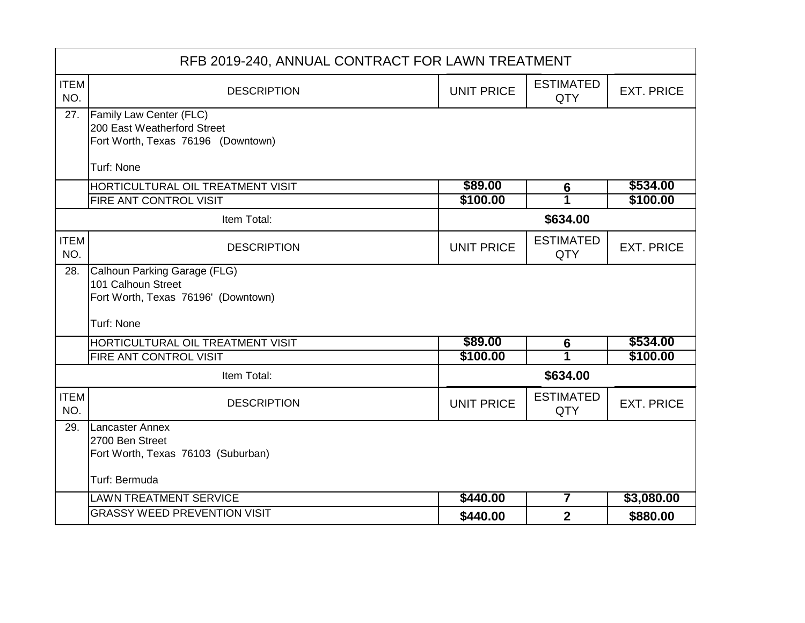|                    | RFB 2019-240, ANNUAL CONTRACT FOR LAWN TREATMENT       |                   |                         |                   |  |
|--------------------|--------------------------------------------------------|-------------------|-------------------------|-------------------|--|
| <b>ITEM</b><br>NO. | <b>DESCRIPTION</b>                                     | <b>UNIT PRICE</b> | <b>ESTIMATED</b><br>QTY | <b>EXT. PRICE</b> |  |
| 27.                | Family Law Center (FLC)<br>200 East Weatherford Street |                   |                         |                   |  |
|                    | Fort Worth, Texas 76196 (Downtown)                     |                   |                         |                   |  |
|                    | Turf: None                                             |                   |                         |                   |  |
|                    | HORTICULTURAL OIL TREATMENT VISIT                      | \$89.00           | $6\phantom{1}6$         | \$534.00          |  |
|                    | FIRE ANT CONTROL VISIT                                 | \$100.00          |                         | \$100.00          |  |
|                    | Item Total:                                            |                   | \$634.00                |                   |  |
| <b>ITEM</b><br>NO. | <b>DESCRIPTION</b>                                     | <b>UNIT PRICE</b> | <b>ESTIMATED</b><br>QTY | <b>EXT. PRICE</b> |  |
| 28.                | Calhoun Parking Garage (FLG)                           |                   |                         |                   |  |
|                    | 101 Calhoun Street                                     |                   |                         |                   |  |
|                    | Fort Worth, Texas 76196' (Downtown)                    |                   |                         |                   |  |
|                    | Turf: None                                             |                   |                         |                   |  |
|                    | HORTICULTURAL OIL TREATMENT VISIT                      | \$89.00           | $6\phantom{1}6$         | \$534.00          |  |
|                    | FIRE ANT CONTROL VISIT                                 | \$100.00          | 1                       | \$100.00          |  |
|                    | Item Total:                                            |                   | \$634.00                |                   |  |
| <b>ITEM</b><br>NO. | <b>DESCRIPTION</b>                                     | <b>UNIT PRICE</b> | <b>ESTIMATED</b><br>QTY | <b>EXT. PRICE</b> |  |
| 29.                | Lancaster Annex                                        |                   |                         |                   |  |
|                    | 2700 Ben Street<br>Fort Worth, Texas 76103 (Suburban)  |                   |                         |                   |  |
|                    |                                                        |                   |                         |                   |  |
|                    | Turf: Bermuda                                          |                   |                         |                   |  |
|                    | <b>LAWN TREATMENT SERVICE</b>                          | \$440.00          | $\overline{\mathbf{7}}$ | \$3,080.00        |  |
|                    | <b>GRASSY WEED PREVENTION VISIT</b>                    | \$440.00          | $\overline{2}$          | \$880.00          |  |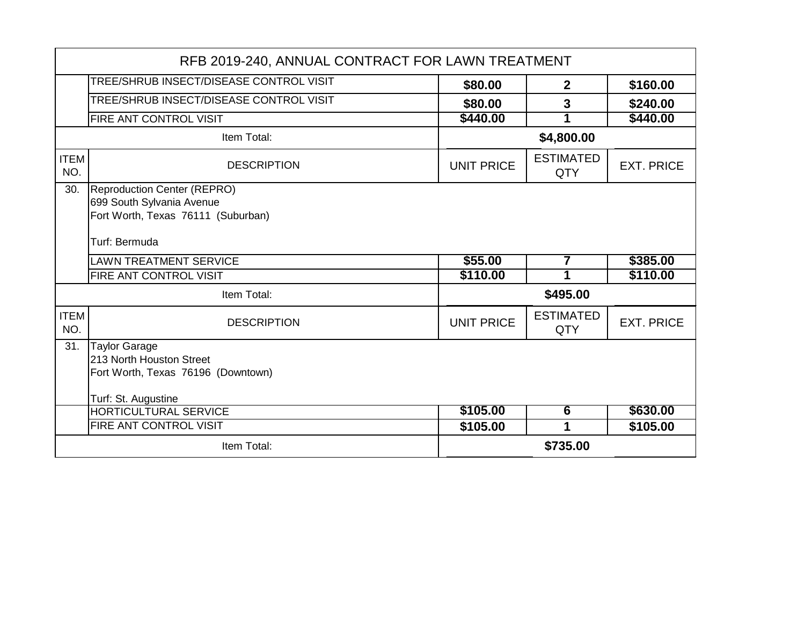| RFB 2019-240, ANNUAL CONTRACT FOR LAWN TREATMENT |                                                                                                               |                   |                         |                   |
|--------------------------------------------------|---------------------------------------------------------------------------------------------------------------|-------------------|-------------------------|-------------------|
|                                                  | TREE/SHRUB INSECT/DISEASE CONTROL VISIT                                                                       | \$80.00           | $\mathbf{2}$            | \$160.00          |
|                                                  | <b>TREE/SHRUB INSECT/DISEASE CONTROL VISIT</b>                                                                | \$80.00           | $\overline{3}$          | \$240.00          |
|                                                  | FIRE ANT CONTROL VISIT                                                                                        | \$440.00          |                         | \$440.00          |
| Item Total:                                      |                                                                                                               | \$4,800.00        |                         |                   |
| <b>ITEM</b><br>NO.                               | <b>DESCRIPTION</b>                                                                                            | <b>UNIT PRICE</b> | <b>ESTIMATED</b><br>QTY | <b>EXT. PRICE</b> |
| 30.                                              | Reproduction Center (REPRO)<br>699 South Sylvania Avenue<br>Fort Worth, Texas 76111 (Suburban)                |                   |                         |                   |
|                                                  | Turf: Bermuda                                                                                                 |                   |                         |                   |
|                                                  |                                                                                                               |                   |                         |                   |
|                                                  | <b>LAWN TREATMENT SERVICE</b>                                                                                 | \$55.00           | 7                       | \$385.00          |
|                                                  | FIRE ANT CONTROL VISIT                                                                                        | \$110.00          | 1                       | \$110.00          |
|                                                  | Item Total:                                                                                                   |                   | \$495.00                |                   |
| <b>ITEM</b><br>NO.                               | <b>DESCRIPTION</b>                                                                                            | <b>UNIT PRICE</b> | <b>ESTIMATED</b><br>QTY | <b>EXT. PRICE</b> |
| 31.                                              | <b>Taylor Garage</b><br>213 North Houston Street<br>Fort Worth, Texas 76196 (Downtown)<br>Turf: St. Augustine |                   |                         |                   |
|                                                  | <b>HORTICULTURAL SERVICE</b>                                                                                  | \$105.00          | 6                       | \$630.00          |
|                                                  | FIRE ANT CONTROL VISIT                                                                                        | \$105.00          | 1                       | \$105.00          |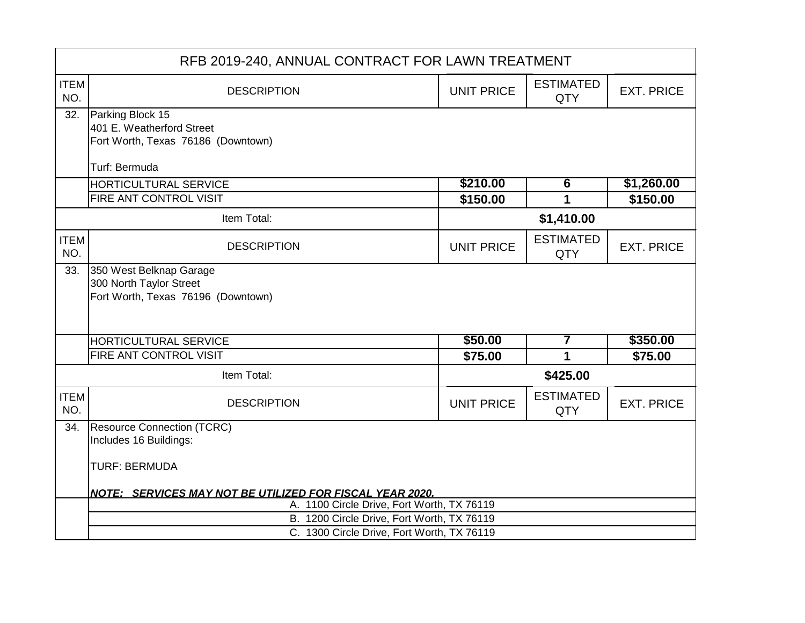|                    | RFB 2019-240, ANNUAL CONTRACT FOR LAWN TREATMENT                |                   |                                |                   |  |
|--------------------|-----------------------------------------------------------------|-------------------|--------------------------------|-------------------|--|
| <b>ITEM</b><br>NO. | <b>DESCRIPTION</b>                                              | <b>UNIT PRICE</b> | <b>ESTIMATED</b><br><b>QTY</b> | <b>EXT. PRICE</b> |  |
| 32.                | Parking Block 15                                                |                   |                                |                   |  |
|                    | 401 E. Weatherford Street<br>Fort Worth, Texas 76186 (Downtown) |                   |                                |                   |  |
|                    |                                                                 |                   |                                |                   |  |
|                    | Turf: Bermuda                                                   |                   |                                |                   |  |
|                    | HORTICULTURAL SERVICE                                           | \$210.00          | $6\overline{6}$                | \$1,260.00        |  |
|                    | FIRE ANT CONTROL VISIT                                          | \$150.00          |                                | \$150.00          |  |
|                    | Item Total:                                                     |                   | \$1,410.00                     |                   |  |
| <b>ITEM</b><br>NO. | <b>DESCRIPTION</b>                                              | <b>UNIT PRICE</b> | <b>ESTIMATED</b><br><b>QTY</b> | <b>EXT. PRICE</b> |  |
| 33.                | 350 West Belknap Garage                                         |                   |                                |                   |  |
|                    | 300 North Taylor Street<br>Fort Worth, Texas 76196 (Downtown)   |                   |                                |                   |  |
|                    |                                                                 |                   |                                |                   |  |
|                    |                                                                 |                   |                                |                   |  |
|                    | HORTICULTURAL SERVICE                                           | \$50.00           | 7                              | \$350.00          |  |
|                    | FIRE ANT CONTROL VISIT                                          | \$75.00           | 1                              | \$75.00           |  |
| Item Total:        |                                                                 | \$425.00          |                                |                   |  |
| <b>ITEM</b><br>NO. | <b>DESCRIPTION</b>                                              | <b>UNIT PRICE</b> | <b>ESTIMATED</b><br><b>QTY</b> | <b>EXT. PRICE</b> |  |
| 34.                | <b>Resource Connection (TCRC)</b>                               |                   |                                |                   |  |
|                    | Includes 16 Buildings:                                          |                   |                                |                   |  |
|                    | <b>TURF: BERMUDA</b>                                            |                   |                                |                   |  |
|                    | <b>NOTE: SERVICES MAY NOT BE UTILIZED FOR FISCAL YEAR 2020.</b> |                   |                                |                   |  |
|                    | A. 1100 Circle Drive, Fort Worth, TX 76119                      |                   |                                |                   |  |
|                    | B. 1200 Circle Drive, Fort Worth, TX 76119                      |                   |                                |                   |  |
|                    | C. 1300 Circle Drive, Fort Worth, TX 76119                      |                   |                                |                   |  |